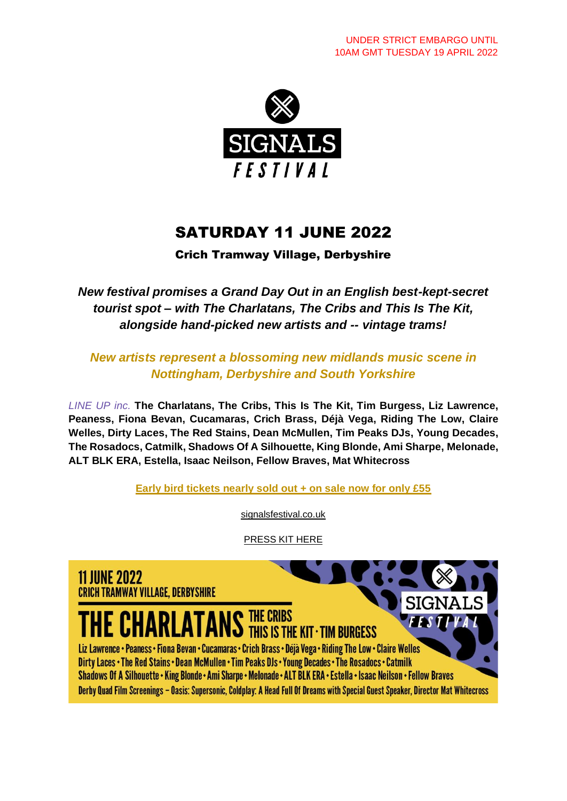

## SATURDAY 11 JUNE 2022

Crich Tramway Village, Derbyshire

*New festival promises a Grand Day Out in an English best-kept-secret tourist spot – with The Charlatans, The Cribs and This Is The Kit, alongside hand-picked new artists and -- vintage trams!*

*New artists represent a blossoming new midlands music scene in Nottingham, Derbyshire and South Yorkshire*

*LINE UP inc.* **The Charlatans, The Cribs, This Is The Kit, Tim Burgess, Liz Lawrence, Peaness, Fiona Bevan, Cucamaras, Crich Brass, Déjà Vega, Riding The Low, Claire Welles, Dirty Laces, The Red Stains, Dean McMullen, Tim Peaks DJs, Young Decades, The Rosadocs, Catmilk, Shadows Of A Silhouette, King Blonde, Ami Sharpe, Melonade, ALT BLK ERA, Estella, Isaac Neilson, Fellow Braves, Mat Whitecross**

**[Early bird tickets nearly sold out + on sale now for only £55](https://signalsfestival.co.uk/tickets/)** 

[signalsfestival.co.uk](https://signalsfestival.co.uk/)

[PRESS KIT HERE](https://drive.google.com/drive/folders/1KhUqYZdp5oHVoB789YId1c8sGhtascn7?usp=sharing)

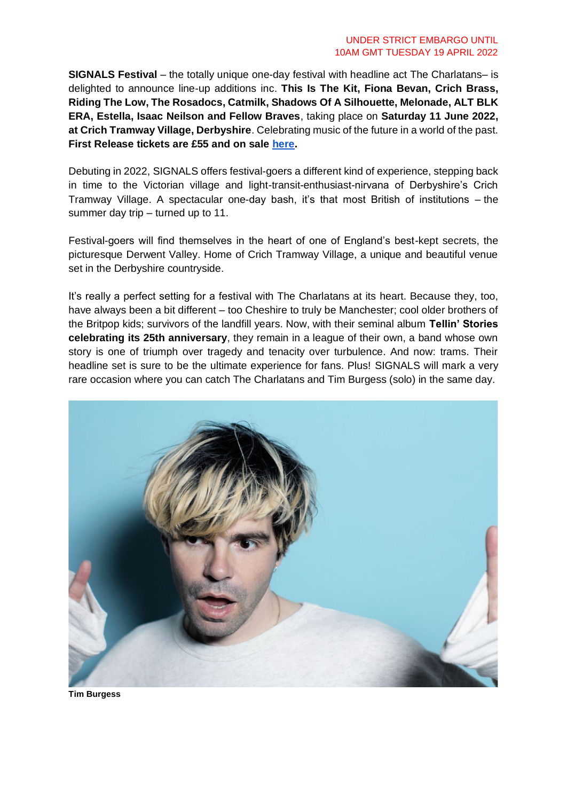**SIGNALS Festival** – the totally unique one-day festival with headline act The Charlatans– is delighted to announce line-up additions inc. **This Is The Kit, Fiona Bevan, Crich Brass, Riding The Low, The Rosadocs, Catmilk, Shadows Of A Silhouette, Melonade, ALT BLK ERA, Estella, Isaac Neilson and Fellow Braves**, taking place on **Saturday 11 June 2022, at Crich Tramway Village, Derbyshire**. Celebrating music of the future in a world of the past. **First Release tickets are £55 and on sale [here.](https://signalsfestival.co.uk/tickets/)**

Debuting in 2022, SIGNALS offers festival-goers a different kind of experience, stepping back in time to the Victorian village and light-transit-enthusiast-nirvana of Derbyshire's Crich Tramway Village. A spectacular one-day bash, it's that most British of institutions – the summer day trip – turned up to 11.

Festival-goers will find themselves in the heart of one of England's best-kept secrets, the picturesque Derwent Valley. Home of Crich Tramway Village, a unique and beautiful venue set in the Derbyshire countryside.

It's really a perfect setting for a festival with The Charlatans at its heart. Because they, too, have always been a bit different – too Cheshire to truly be Manchester; cool older brothers of the Britpop kids; survivors of the landfill years. Now, with their seminal album **Tellin' Stories celebrating its 25th anniversary**, they remain in a league of their own, a band whose own story is one of triumph over tragedy and tenacity over turbulence. And now: trams. Their headline set is sure to be the ultimate experience for fans. Plus! SIGNALS will mark a very rare occasion where you can catch The Charlatans and Tim Burgess (solo) in the same day.



**Tim Burgess**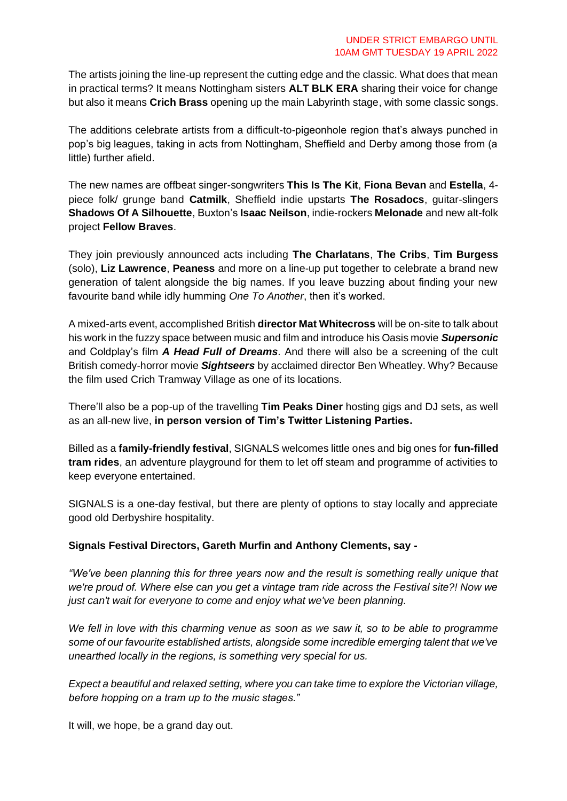The artists joining the line-up represent the cutting edge and the classic. What does that mean in practical terms? It means Nottingham sisters **ALT BLK ERA** sharing their voice for change but also it means **Crich Brass** opening up the main Labyrinth stage, with some classic songs.

The additions celebrate artists from a difficult-to-pigeonhole region that's always punched in pop's big leagues, taking in acts from Nottingham, Sheffield and Derby among those from (a little) further afield.

The new names are offbeat singer-songwriters **This Is The Kit**, **Fiona Bevan** and **Estella**, 4 piece folk/ grunge band **Catmilk**, Sheffield indie upstarts **The Rosadocs**, guitar-slingers **Shadows Of A Silhouette**, Buxton's **Isaac Neilson**, indie-rockers **Melonade** and new alt-folk project **Fellow Braves**.

They join previously announced acts including **The Charlatans**, **The Cribs**, **Tim Burgess** (solo), **Liz Lawrence**, **Peaness** and more on a line-up put together to celebrate a brand new generation of talent alongside the big names. If you leave buzzing about finding your new favourite band while idly humming *One To Another*, then it's worked.

A mixed-arts event, accomplished British **director Mat Whitecross** will be on-site to talk about his work in the fuzzy space between music and film and introduce his Oasis movie *Supersonic* and Coldplay's film *A Head Full of Dreams.* And there will also be a screening of the cult British comedy-horror movie *Sightseers* by acclaimed director Ben Wheatley. Why? Because the film used Crich Tramway Village as one of its locations.

There'll also be a pop-up of the travelling **Tim Peaks Diner** hosting gigs and DJ sets, as well as an all-new live, **in person version of Tim's Twitter Listening Parties.**

Billed as a **family-friendly festival**, SIGNALS welcomes little ones and big ones for **fun-filled tram rides**, an adventure playground for them to let off steam and programme of activities to keep everyone entertained.

SIGNALS is a one-day festival, but there are plenty of options to stay locally and appreciate good old Derbyshire hospitality.

## **Signals Festival Directors, Gareth Murfin and Anthony Clements, say -**

*"We've been planning this for three years now and the result is something really unique that we're proud of. Where else can you get a vintage tram ride across the Festival site?! Now we just can't wait for everyone to come and enjoy what we've been planning.* 

*We fell in love with this charming venue as soon as we saw it, so to be able to programme some of our favourite established artists, alongside some incredible emerging talent that we've unearthed locally in the regions, is something very special for us.* 

*Expect a beautiful and relaxed setting, where you can take time to explore the Victorian village, before hopping on a tram up to the music stages."*

It will, we hope, be a grand day out.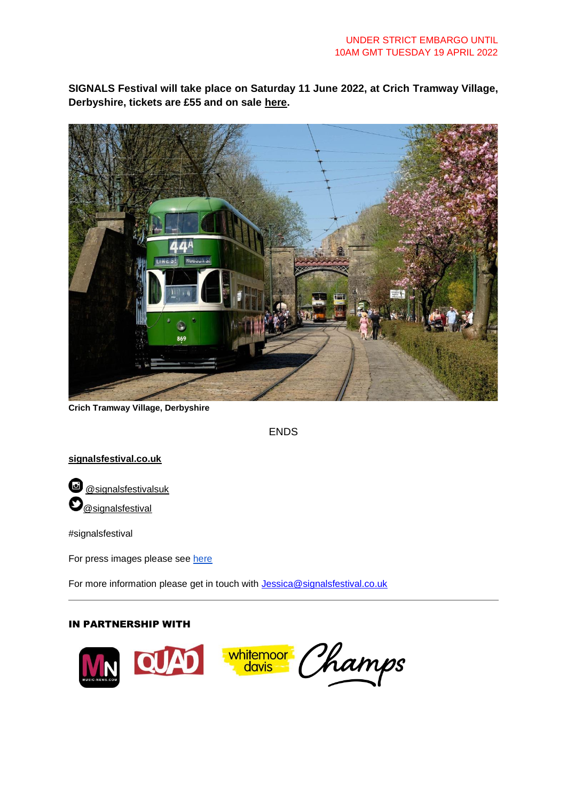**SIGNALS Festival will take place on Saturday 11 June 2022, at Crich Tramway Village, Derbyshire, tickets are £55 and on sale [here.](https://signalsfestival.co.uk/tickets/)**



**Crich Tramway Village, Derbyshire**

ENDS

## **[signalsfestival.co.uk](http://signalsfestival.co.uk/)**

**@** [@signalsfestivalsuk](https://www.instagram.com/signalsfestivalUK/)  $\mathbf{O}_\text{\tiny\textcircled{\tiny{asignal}}}$ 

#signalsfestival

For press images please see [here](https://drive.google.com/drive/folders/1KhUqYZdp5oHVoB789YId1c8sGhtascn7?usp=sharing)

For more information please get in touch with [Jessica@signalsfestival.co.uk](mailto:Jessica@signalsfestival.co.uk)

## IN PARTNERSHIP WITH